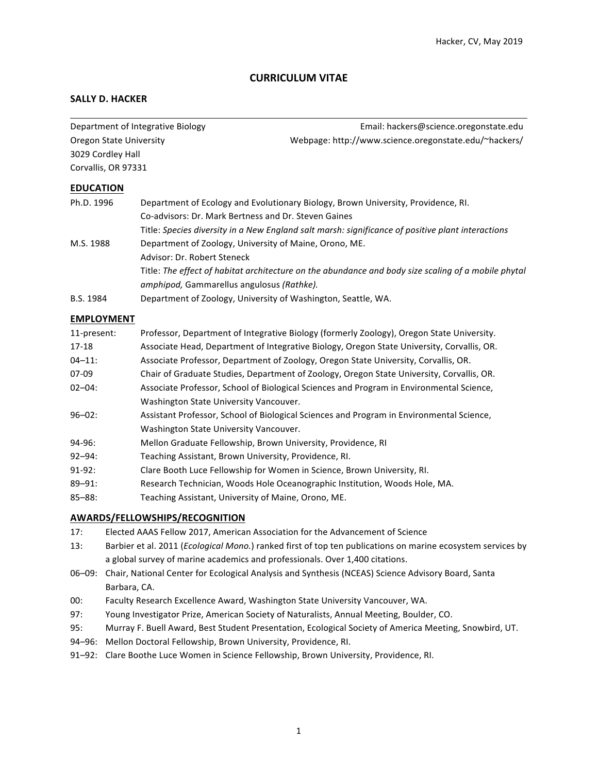# **CURRICULUM VITAE**

## **SALLY D. HACKER**

Department of Integrative Biology entity and the settlement of Integrative Biology entity and the Email: hackers@science.oregonstate.edu Oregon State University The Communication of the University Webpage: http://www.science.oregonstate.edu/~hackers/ 3029 Cordley Hall Corvallis, OR 97331

#### **EDUCATION**

| Ph.D. 1996 | Department of Ecology and Evolutionary Biology, Brown University, Providence, RI.                   |
|------------|-----------------------------------------------------------------------------------------------------|
|            | Co-advisors: Dr. Mark Bertness and Dr. Steven Gaines                                                |
|            | Title: Species diversity in a New England salt marsh: significance of positive plant interactions   |
| M.S. 1988  | Department of Zoology, University of Maine, Orono, ME.                                              |
|            | Advisor: Dr. Robert Steneck                                                                         |
|            | Title: The effect of habitat architecture on the abundance and body size scaling of a mobile phytal |
|            | <i>amphipod,</i> Gammarellus angulosus <i>(Rathke)</i> .                                            |
| B.S. 1984  | Department of Zoology, University of Washington, Seattle, WA.                                       |

## **EMPLOYMENT**

| 11-present: | Professor, Department of Integrative Biology (formerly Zoology), Oregon State University.  |
|-------------|--------------------------------------------------------------------------------------------|
| $17 - 18$   | Associate Head, Department of Integrative Biology, Oregon State University, Corvallis, OR. |
| $04 - 11$ : | Associate Professor, Department of Zoology, Oregon State University, Corvallis, OR.        |
| 07-09       | Chair of Graduate Studies, Department of Zoology, Oregon State University, Corvallis, OR.  |
| $02 - 04$ : | Associate Professor, School of Biological Sciences and Program in Environmental Science,   |
|             | Washington State University Vancouver.                                                     |
| $96 - 02$ : | Assistant Professor, School of Biological Sciences and Program in Environmental Science,   |
|             | Washington State University Vancouver.                                                     |
| 94-96:      | Mellon Graduate Fellowship, Brown University, Providence, RI                               |
| $92 - 94:$  | Teaching Assistant, Brown University, Providence, RI.                                      |
| $91-92:$    | Clare Booth Luce Fellowship for Women in Science, Brown University, RI.                    |
| $89 - 91$ : | Research Technician, Woods Hole Oceanographic Institution, Woods Hole, MA.                 |
| $85 - 88:$  | Teaching Assistant, University of Maine, Orono, ME.                                        |

### **AWARDS/FELLOWSHIPS/RECOGNITION**

- 17: Elected AAAS Fellow 2017, American Association for the Advancement of Science
- 13: Barbier et al. 2011 (*Ecological Mono.*) ranked first of top ten publications on marine ecosystem services by a global survey of marine academics and professionals. Over 1,400 citations.
- 06-09: Chair, National Center for Ecological Analysis and Synthesis (NCEAS) Science Advisory Board, Santa Barbara, CA.
- 00: Faculty Research Excellence Award, Washington State University Vancouver, WA.
- 97: Young Investigator Prize, American Society of Naturalists, Annual Meeting, Boulder, CO.
- 95: Murray F. Buell Award, Best Student Presentation, Ecological Society of America Meeting, Snowbird, UT.
- 94-96: Mellon Doctoral Fellowship, Brown University, Providence, RI.
- 91-92: Clare Boothe Luce Women in Science Fellowship, Brown University, Providence, RI.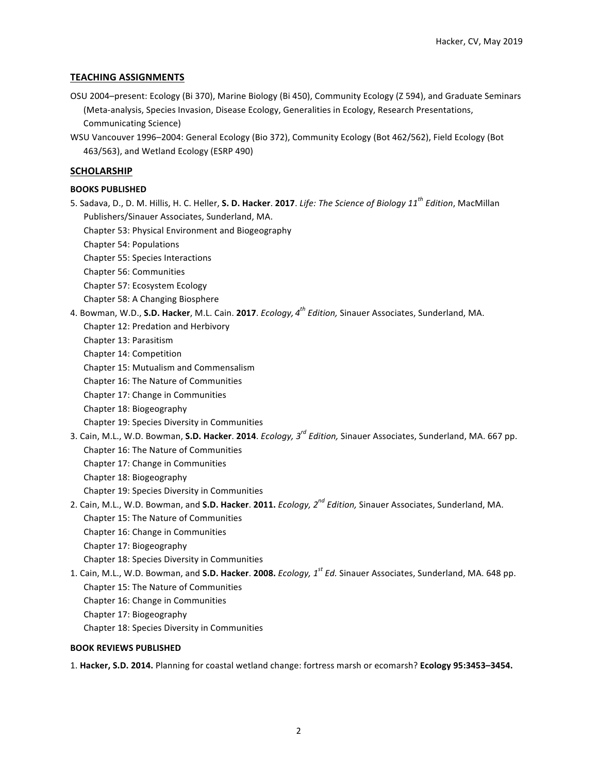## **TEACHING ASSIGNMENTS**

- OSU 2004–present: Ecology (Bi 370), Marine Biology (Bi 450), Community Ecology (Z 594), and Graduate Seminars (Meta-analysis, Species Invasion, Disease Ecology, Generalities in Ecology, Research Presentations, Communicating Science)
- WSU Vancouver 1996-2004: General Ecology (Bio 372), Community Ecology (Bot 462/562), Field Ecology (Bot 463/563), and Wetland Ecology (ESRP 490)

### **SCHOLARSHIP**

### **BOOKS PUBLISHED**

- 5. Sadava, D., D. M. Hillis, H. C. Heller, **S. D. Hacker**. **2017**. *Life: The Science of Biology 11th Edition*, MacMillan Publishers/Sinauer Associates, Sunderland, MA.
	- Chapter 53: Physical Environment and Biogeography
	- Chapter 54: Populations
	- Chapter 55: Species Interactions
	- Chapter 56: Communities
	- Chapter 57: Ecosystem Ecology
	- Chapter 58: A Changing Biosphere
- 4. Bowman, W.D., S.D. Hacker, M.L. Cain. 2017. *Ecology, 4<sup>th</sup> Edition,* Sinauer Associates, Sunderland, MA. Chapter 12: Predation and Herbivory
	- Chapter 13: Parasitism
	- Chapter 14: Competition
	- Chapter 15: Mutualism and Commensalism
	- Chapter 16: The Nature of Communities
	- Chapter 17: Change in Communities
	- Chapter 18: Biogeography
	- Chapter 19: Species Diversity in Communities
- 3. Cain, M.L., W.D. Bowman, S.D. Hacker. 2014. *Ecology, 3<sup>rd</sup> Edition*, Sinauer Associates, Sunderland, MA. 667 pp. Chapter 16: The Nature of Communities
	- Chapter 17: Change in Communities
	- Chapter 18: Biogeography
	- Chapter 19: Species Diversity in Communities
- 2. Cain, M.L., W.D. Bowman, and S.D. Hacker. 2011. *Ecology, 2<sup>nd</sup> Edition,* Sinauer Associates, Sunderland, MA. Chapter 15: The Nature of Communities
	- Chapter 16: Change in Communities
	- Chapter 17: Biogeography
	- Chapter 18: Species Diversity in Communities
- 1. Cain, M.L., W.D. Bowman, and S.D. Hacker. 2008. *Ecology,* 1<sup>st</sup> Ed. Sinauer Associates, Sunderland, MA. 648 pp. Chapter 15: The Nature of Communities Chapter 16: Change in Communities
	- Chapter 17: Biogeography
	- Chapter 18: Species Diversity in Communities

#### **BOOK REVIEWS PUBLISHED**

1. Hacker, S.D. 2014. Planning for coastal wetland change: fortress marsh or ecomarsh? Ecology 95:3453-3454.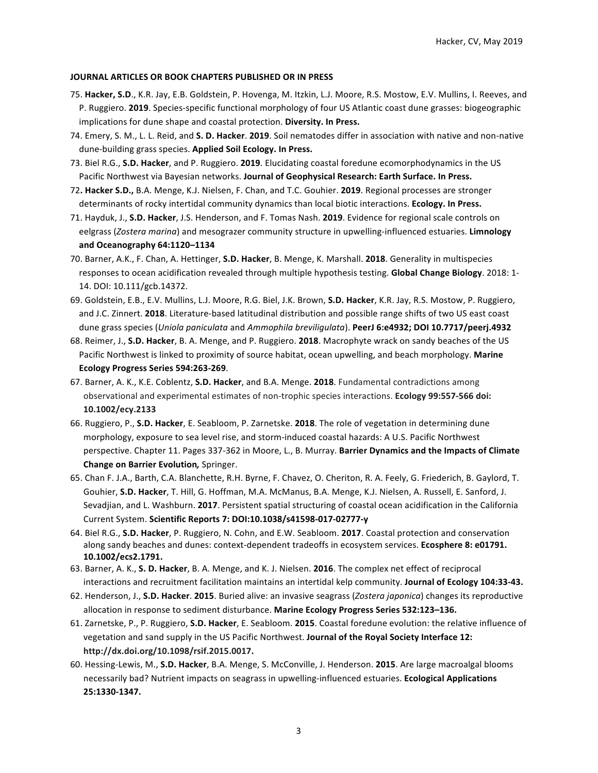#### **JOURNAL ARTICLES OR BOOK CHAPTERS PUBLISHED OR IN PRESS**

- 75. Hacker, S.D., K.R. Jay, E.B. Goldstein, P. Hovenga, M. Itzkin, L.J. Moore, R.S. Mostow, E.V. Mullins, I. Reeves, and P. Ruggiero. 2019. Species-specific functional morphology of four US Atlantic coast dune grasses: biogeographic implications for dune shape and coastal protection. Diversity. In Press.
- 74. Emery, S. M., L. L. Reid, and S. D. Hacker. 2019. Soil nematodes differ in association with native and non-native dune-building grass species. Applied Soil Ecology. In Press.
- 73. Biel R.G., **S.D. Hacker**, and P. Ruggiero. 2019. Elucidating coastal foredune ecomorphodynamics in the US Pacific Northwest via Bayesian networks. Journal of Geophysical Research: Earth Surface. In Press.
- 72. Hacker S.D., B.A. Menge, K.J. Nielsen, F. Chan, and T.C. Gouhier. 2019. Regional processes are stronger determinants of rocky intertidal community dynamics than local biotic interactions. **Ecology. In Press.**
- 71. Hayduk, J., S.D. Hacker, J.S. Henderson, and F. Tomas Nash. 2019. Evidence for regional scale controls on eelgrass (Zostera marina) and mesograzer community structure in upwelling-influenced estuaries. Limnology **and Oceanography 64:1120–1134**
- 70. Barner, A.K., F. Chan, A. Hettinger, S.D. Hacker, B. Menge, K. Marshall. 2018. Generality in multispecies responses to ocean acidification revealed through multiple hypothesis testing. **Global Change Biology**. 2018: 1-14. DOI: 10.111/gcb.14372.
- 69. Goldstein, E.B., E.V. Mullins, L.J. Moore, R.G. Biel, J.K. Brown, S.D. Hacker, K.R. Jay, R.S. Mostow, P. Ruggiero, and J.C. Zinnert. **2018**. Literature-based latitudinal distribution and possible range shifts of two US east coast dune grass species (Uniola paniculata and Ammophila breviligulata). PeerJ 6:e4932; DOI 10.7717/peerj.4932
- 68. Reimer, J., S.D. Hacker, B. A. Menge, and P. Ruggiero. 2018. Macrophyte wrack on sandy beaches of the US Pacific Northwest is linked to proximity of source habitat, ocean upwelling, and beach morphology. Marine **Ecology Progress Series 594:263-269**.
- 67. Barner, A. K., K.E. Coblentz, S.D. Hacker, and B.A. Menge. 2018. Fundamental contradictions among observational and experimental estimates of non-trophic species interactions. **Ecology 99:557-566 doi: 10.1002/ecy.2133**
- 66. Ruggiero, P., S.D. Hacker, E. Seabloom, P. Zarnetske. 2018. The role of vegetation in determining dune morphology, exposure to sea level rise, and storm-induced coastal hazards: A U.S. Pacific Northwest perspective. Chapter 11. Pages 337-362 in Moore, L., B. Murray. Barrier Dynamics and the Impacts of Climate **Change on Barrier Evolution, Springer.**
- 65. Chan F. J.A., Barth, C.A. Blanchette, R.H. Byrne, F. Chavez, O. Cheriton, R. A. Feely, G. Friederich, B. Gaylord, T. Gouhier, S.D. Hacker, T. Hill, G. Hoffman, M.A. McManus, B.A. Menge, K.J. Nielsen, A. Russell, E. Sanford, J. Sevadjian, and L. Washburn. 2017. Persistent spatial structuring of coastal ocean acidification in the California Current System. **Scientific Reports 7: DOI:10.1038/s41598-017-02777-y**
- 64. Biel R.G., S.D. Hacker, P. Ruggiero, N. Cohn, and E.W. Seabloom. 2017. Coastal protection and conservation along sandy beaches and dunes: context-dependent tradeoffs in ecosystem services. **Ecosphere 8: e01791. 10.1002/ecs2.1791.**
- 63. Barner, A. K., S. D. Hacker, B. A. Menge, and K. J. Nielsen. 2016. The complex net effect of reciprocal interactions and recruitment facilitation maintains an intertidal kelp community. Journal of Ecology 104:33-43.
- 62. Henderson, J., S.D. Hacker. 2015. Buried alive: an invasive seagrass (Zostera japonica) changes its reproductive allocation in response to sediment disturbance. Marine Ecology Progress Series 532:123-136.
- 61. Zarnetske, P., P. Ruggiero, S.D. Hacker, E. Seabloom. 2015. Coastal foredune evolution: the relative influence of vegetation and sand supply in the US Pacific Northwest. **Journal of the Royal Society Interface 12: http://dx.doi.org/10.1098/rsif.2015.0017.**
- 60. Hessing-Lewis, M., S.D. Hacker, B.A. Menge, S. McConville, J. Henderson. 2015. Are large macroalgal blooms necessarily bad? Nutrient impacts on seagrass in upwelling-influenced estuaries. **Ecological Applications 25:1330-1347.**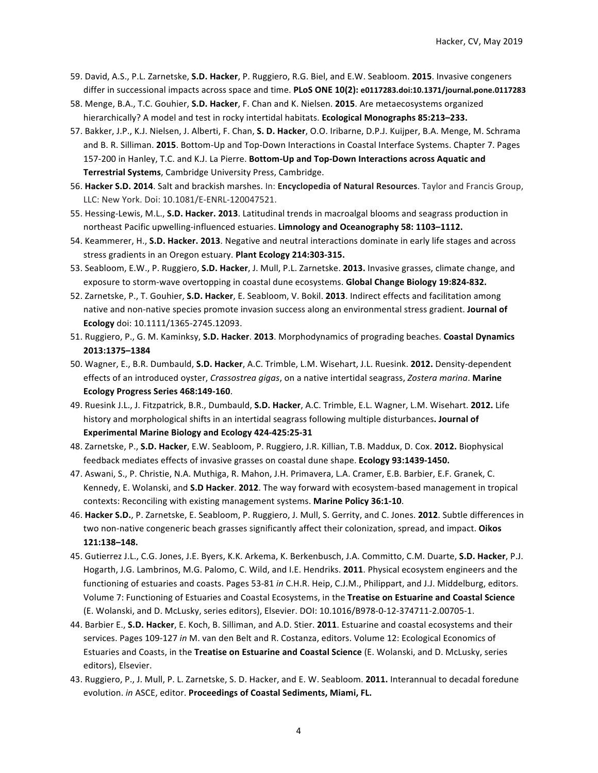- 59. David, A.S., P.L. Zarnetske, S.D. Hacker, P. Ruggiero, R.G. Biel, and E.W. Seabloom. 2015. Invasive congeners differ in successional impacts across space and time. PLoS ONE 10(2): e0117283.doi:10.1371/journal.pone.0117283
- 58. Menge, B.A., T.C. Gouhier, S.D. Hacker, F. Chan and K. Nielsen. 2015. Are metaecosystems organized hierarchically? A model and test in rocky intertidal habitats. **Ecological Monographs 85:213-233.**
- 57. Bakker, J.P., K.J. Nielsen, J. Alberti, F. Chan, S. D. Hacker, O.O. Iribarne, D.P.J. Kuijper, B.A. Menge, M. Schrama and B. R. Silliman. 2015. Bottom-Up and Top-Down Interactions in Coastal Interface Systems. Chapter 7. Pages 157-200 in Hanley, T.C. and K.J. La Pierre. Bottom-Up and Top-Down Interactions across Aquatic and **Terrestrial Systems**, Cambridge University Press, Cambridge.
- 56. Hacker S.D. 2014. Salt and brackish marshes. In: Encyclopedia of Natural Resources. Taylor and Francis Group, LLC: New York. Doi: 10.1081/E-ENRL-120047521.
- 55. Hessing-Lewis, M.L., S.D. Hacker. 2013. Latitudinal trends in macroalgal blooms and seagrass production in northeast Pacific upwelling-influenced estuaries. Limnology and Oceanography 58: 1103-1112.
- 54. Keammerer, H., S.D. Hacker. 2013. Negative and neutral interactions dominate in early life stages and across stress gradients in an Oregon estuary. Plant Ecology 214:303-315.
- 53. Seabloom, E.W., P. Ruggiero, S.D. Hacker, J. Mull, P.L. Zarnetske. 2013. Invasive grasses, climate change, and exposure to storm-wave overtopping in coastal dune ecosystems. Global Change Biology 19:824-832.
- 52. Zarnetske, P., T. Gouhier, S.D. Hacker, E. Seabloom, V. Bokil. 2013. Indirect effects and facilitation among native and non-native species promote invasion success along an environmental stress gradient. **Journal of Ecology** doi: 10.1111/1365-2745.12093.
- 51. Ruggiero, P., G. M. Kaminksy, S.D. Hacker. 2013. Morphodynamics of prograding beaches. Coastal Dynamics **2013:1375–1384**
- 50. Wagner, E., B.R. Dumbauld, **S.D. Hacker**, A.C. Trimble, L.M. Wisehart, J.L. Ruesink. **2012.** Density-dependent effects of an introduced oyster, *Crassostrea gigas*, on a native intertidal seagrass, *Zostera marina*. Marine **Ecology Progress Series 468:149-160**.
- 49. Ruesink J.L., J. Fitzpatrick, B.R., Dumbauld, S.D. Hacker, A.C. Trimble, E.L. Wagner, L.M. Wisehart. 2012. Life history and morphological shifts in an intertidal seagrass following multiple disturbances. Journal of **Experimental Marine Biology and Ecology 424-425:25-31**
- 48. Zarnetske, P., S.D. Hacker, E.W. Seabloom, P. Ruggiero, J.R. Killian, T.B. Maddux, D. Cox. 2012. Biophysical feedback mediates effects of invasive grasses on coastal dune shape. Ecology 93:1439-1450.
- 47. Aswani, S., P. Christie, N.A. Muthiga, R. Mahon, J.H. Primavera, L.A. Cramer, E.B. Barbier, E.F. Granek, C. Kennedy, E. Wolanski, and S.D Hacker. 2012. The way forward with ecosystem-based management in tropical contexts: Reconciling with existing management systems. Marine Policy 36:1-10.
- 46. Hacker S.D., P. Zarnetske, E. Seabloom, P. Ruggiero, J. Mull, S. Gerrity, and C. Jones. 2012. Subtle differences in two non-native congeneric beach grasses significantly affect their colonization, spread, and impact. **Oikos 121:138–148.**
- 45. Gutierrez J.L., C.G. Jones, J.E. Byers, K.K. Arkema, K. Berkenbusch, J.A. Committo, C.M. Duarte, S.D. Hacker, P.J. Hogarth, J.G. Lambrinos, M.G. Palomo, C. Wild, and I.E. Hendriks. 2011. Physical ecosystem engineers and the functioning of estuaries and coasts. Pages 53-81 in C.H.R. Heip, C.J.M., Philippart, and J.J. Middelburg, editors. Volume 7: Functioning of Estuaries and Coastal Ecosystems, in the Treatise on Estuarine and Coastal Science (E. Wolanski, and D. McLusky, series editors), Elsevier. DOI: 10.1016/B978-0-12-374711-2.00705-1.
- 44. Barbier E., S.D. Hacker, E. Koch, B. Silliman, and A.D. Stier. 2011. Estuarine and coastal ecosystems and their services. Pages 109-127 in M. van den Belt and R. Costanza, editors. Volume 12: Ecological Economics of Estuaries and Coasts, in the Treatise on Estuarine and Coastal Science (E. Wolanski, and D. McLusky, series editors), Elsevier.
- 43. Ruggiero, P., J. Mull, P. L. Zarnetske, S. D. Hacker, and E. W. Seabloom. **2011.** Interannual to decadal foredune evolution. in ASCE, editor. Proceedings of Coastal Sediments, Miami, FL.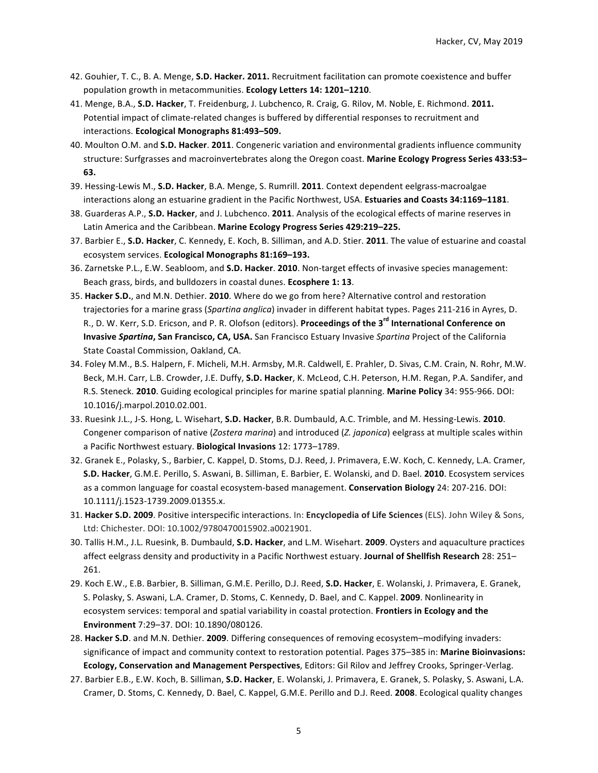- 42. Gouhier, T. C., B. A. Menge, S.D. Hacker. 2011. Recruitment facilitation can promote coexistence and buffer population growth in metacommunities. Ecology Letters 14: 1201-1210.
- 41. Menge, B.A., S.D. Hacker, T. Freidenburg, J. Lubchenco, R. Craig, G. Rilov, M. Noble, E. Richmond. 2011. Potential impact of climate-related changes is buffered by differential responses to recruitment and interactions. **Ecological Monographs 81:493–509.**
- 40. Moulton O.M. and S.D. Hacker. 2011. Congeneric variation and environmental gradients influence community structure: Surfgrasses and macroinvertebrates along the Oregon coast. Marine Ecology Progress Series 433:53-**63.**
- 39. Hessing-Lewis M., S.D. Hacker, B.A. Menge, S. Rumrill. 2011. Context dependent eelgrass-macroalgae interactions along an estuarine gradient in the Pacific Northwest, USA. Estuaries and Coasts 34:1169-1181.
- 38. Guarderas A.P., S.D. Hacker, and J. Lubchenco. 2011. Analysis of the ecological effects of marine reserves in Latin America and the Caribbean. Marine Ecology Progress Series 429:219-225.
- 37. Barbier E., S.D. Hacker, C. Kennedy, E. Koch, B. Silliman, and A.D. Stier. 2011. The value of estuarine and coastal ecosystem services. **Ecological Monographs 81:169-193.**
- 36. Zarnetske P.L., E.W. Seabloom, and S.D. Hacker. 2010. Non-target effects of invasive species management: Beach grass, birds, and bulldozers in coastal dunes. **Ecosphere 1: 13**.
- 35. Hacker S.D., and M.N. Dethier. 2010. Where do we go from here? Alternative control and restoration trajectories for a marine grass (*Spartina anglica*) invader in different habitat types. Pages 211-216 in Ayres, D. R., D. W. Kerr, S.D. Ericson, and P. R. Olofson (editors). Proceedings of the 3<sup>rd</sup> International Conference on **Invasive Spartina, San Francisco, CA, USA.** San Francisco Estuary Invasive Spartina Project of the California State Coastal Commission, Oakland, CA.
- 34. Foley M.M., B.S. Halpern, F. Micheli, M.H. Armsby, M.R. Caldwell, E. Prahler, D. Sivas, C.M. Crain, N. Rohr, M.W. Beck, M.H. Carr, L.B. Crowder, J.E. Duffy, S.D. Hacker, K. McLeod, C.H. Peterson, H.M. Regan, P.A. Sandifer, and R.S. Steneck. 2010. Guiding ecological principles for marine spatial planning. Marine Policy 34: 955-966. DOI: 10.1016/j.marpol.2010.02.001.
- 33. Ruesink J.L., J-S. Hong, L. Wisehart, **S.D. Hacker**, B.R. Dumbauld, A.C. Trimble, and M. Hessing-Lewis. **2010**. Congener comparison of native (*Zostera marina*) and introduced (*Z. japonica*) eelgrass at multiple scales within a Pacific Northwest estuary. Biological Invasions 12: 1773-1789.
- 32. Granek E., Polasky, S., Barbier, C. Kappel, D. Stoms, D.J. Reed, J. Primavera, E.W. Koch, C. Kennedy, L.A. Cramer, **S.D. Hacker**, G.M.E. Perillo, S. Aswani, B. Silliman, E. Barbier, E. Wolanski, and D. Bael. **2010**. Ecosystem services as a common language for coastal ecosystem-based management. **Conservation Biology** 24: 207-216. DOI: 10.1111/j.1523-1739.2009.01355.x.
- 31. Hacker S.D. 2009. Positive interspecific interactions. In: Encyclopedia of Life Sciences (ELS). John Wiley & Sons, Ltd: Chichester. DOI: 10.1002/9780470015902.a0021901.
- 30. Tallis H.M., J.L. Ruesink, B. Dumbauld, S.D. Hacker, and L.M. Wisehart. 2009. Oysters and aquaculture practices affect eelgrass density and productivity in a Pacific Northwest estuary. Journal of Shellfish Research 28: 251– 261.
- 29. Koch E.W., E.B. Barbier, B. Silliman, G.M.E. Perillo, D.J. Reed, S.D. Hacker, E. Wolanski, J. Primavera, E. Granek, S. Polasky, S. Aswani, L.A. Cramer, D. Stoms, C. Kennedy, D. Bael, and C. Kappel. 2009. Nonlinearity in ecosystem services: temporal and spatial variability in coastal protection. Frontiers in Ecology and the **Environment** 7:29–37. DOI: 10.1890/080126.
- 28. Hacker S.D. and M.N. Dethier. 2009. Differing consequences of removing ecosystem–modifying invaders: significance of impact and community context to restoration potential. Pages 375–385 in: Marine Bioinvasions: **Ecology, Conservation and Management Perspectives**, Editors: Gil Rilov and Jeffrey Crooks, Springer-Verlag.
- 27. Barbier E.B., E.W. Koch, B. Silliman, S.D. Hacker, E. Wolanski, J. Primavera, E. Granek, S. Polasky, S. Aswani, L.A. Cramer, D. Stoms, C. Kennedy, D. Bael, C. Kappel, G.M.E. Perillo and D.J. Reed. 2008. Ecological quality changes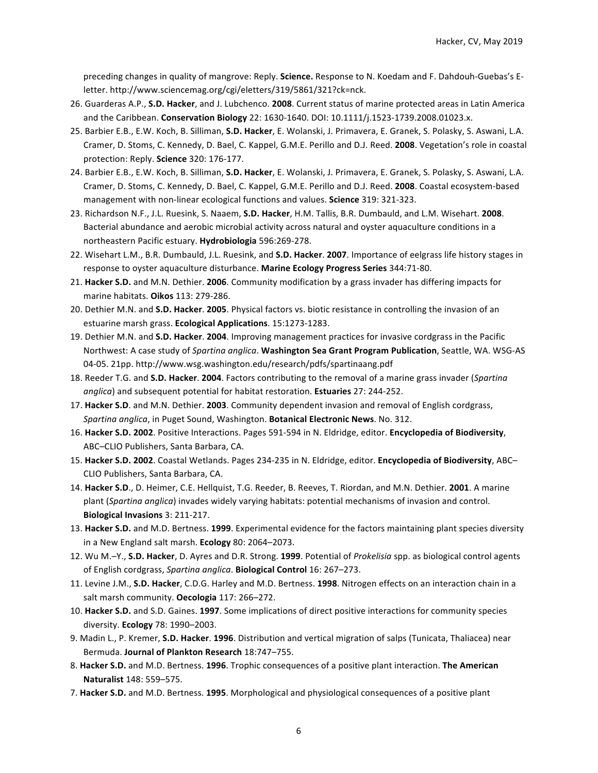preceding changes in quality of mangrove: Reply. **Science.** Response to N. Koedam and F. Dahdouh-Guebas's Eletter. http://www.sciencemag.org/cgi/eletters/319/5861/321?ck=nck.

- 26. Guarderas A.P., S.D. Hacker, and J. Lubchenco. 2008. Current status of marine protected areas in Latin America and the Caribbean. Conservation Biology 22: 1630-1640. DOI: 10.1111/j.1523-1739.2008.01023.x.
- 25. Barbier E.B., E.W. Koch, B. Silliman, S.D. Hacker, E. Wolanski, J. Primavera, E. Granek, S. Polasky, S. Aswani, L.A. Cramer, D. Stoms, C. Kennedy, D. Bael, C. Kappel, G.M.E. Perillo and D.J. Reed. 2008. Vegetation's role in coastal protection: Reply. Science 320: 176-177.
- 24. Barbier E.B., E.W. Koch, B. Silliman, S.D. Hacker, E. Wolanski, J. Primavera, E. Granek, S. Polasky, S. Aswani, L.A. Cramer, D. Stoms, C. Kennedy, D. Bael, C. Kappel, G.M.E. Perillo and D.J. Reed. 2008. Coastal ecosystem-based management with non-linear ecological functions and values. Science 319: 321-323.
- 23. Richardson N.F., J.L. Ruesink, S. Naaem, S.D. Hacker, H.M. Tallis, B.R. Dumbauld, and L.M. Wisehart. 2008. Bacterial abundance and aerobic microbial activity across natural and oyster aquaculture conditions in a northeastern Pacific estuary. **Hydrobiologia** 596:269-278.
- 22. Wisehart L.M., B.R. Dumbauld, J.L. Ruesink, and **S.D. Hacker. 2007**. Importance of eelgrass life history stages in response to oyster aquaculture disturbance. Marine Ecology Progress Series 344:71-80.
- 21. Hacker S.D. and M.N. Dethier. 2006. Community modification by a grass invader has differing impacts for marine habitats. **Oikos** 113: 279-286.
- 20. Dethier M.N. and S.D. Hacker. 2005. Physical factors vs. biotic resistance in controlling the invasion of an estuarine marsh grass. **Ecological Applications**. 15:1273-1283.
- 19. Dethier M.N. and S.D. Hacker. 2004. Improving management practices for invasive cordgrass in the Pacific Northwest: A case study of *Spartina anglica*. Washington Sea Grant Program Publication, Seattle, WA. WSG-AS 04-05. 21pp. http://www.wsg.washington.edu/research/pdfs/spartinaang.pdf
- 18. Reeder T.G. and S.D. Hacker. 2004. Factors contributing to the removal of a marine grass invader (Spartina anglica) and subsequent potential for habitat restoration. Estuaries 27: 244-252.
- 17. Hacker S.D. and M.N. Dethier. 2003. Community dependent invasion and removal of English cordgrass, Spartina anglica, in Puget Sound, Washington. Botanical Electronic News. No. 312.
- 16. Hacker S.D. 2002. Positive Interactions. Pages 591-594 in N. Eldridge, editor. Encyclopedia of Biodiversity, ABC-CLIO Publishers, Santa Barbara, CA.
- 15. **Hacker S.D. 2002**. Coastal Wetlands. Pages 234-235 in N. Eldridge, editor. **Encyclopedia of Biodiversity**, ABC– CLIO Publishers, Santa Barbara, CA.
- 14. Hacker S.D., D. Heimer, C.E. Hellquist, T.G. Reeder, B. Reeves, T. Riordan, and M.N. Dethier. 2001. A marine plant (*Spartina anglica*) invades widely varying habitats: potential mechanisms of invasion and control. **Biological Invasions** 3: 211-217.
- 13. Hacker S.D. and M.D. Bertness. 1999. Experimental evidence for the factors maintaining plant species diversity in a New England salt marsh. **Ecology** 80: 2064–2073.
- 12. Wu M.-Y., **S.D. Hacker**, D. Ayres and D.R. Strong. 1999. Potential of *Prokelisia* spp. as biological control agents of English cordgrass, *Spartina anglica*. **Biological Control** 16: 267–273.
- 11. Levine J.M., S.D. Hacker, C.D.G. Harley and M.D. Bertness. 1998. Nitrogen effects on an interaction chain in a salt marsh community. **Oecologia** 117: 266-272.
- 10. Hacker S.D. and S.D. Gaines. 1997. Some implications of direct positive interactions for community species diversity. **Ecology** 78: 1990–2003.
- 9. Madin L., P. Kremer, S.D. Hacker. 1996. Distribution and vertical migration of salps (Tunicata, Thaliacea) near Bermuda. **Journal of Plankton Research** 18:747–755.
- 8. Hacker S.D. and M.D. Bertness. 1996. Trophic consequences of a positive plant interaction. The American **Naturalist** 148: 559–575.
- 7. Hacker S.D. and M.D. Bertness. 1995. Morphological and physiological consequences of a positive plant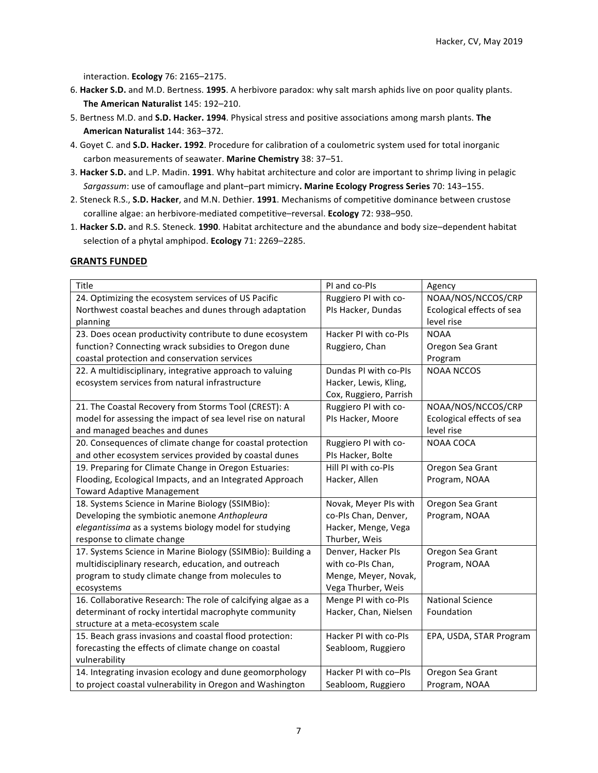interaction. **Ecology** 76: 2165–2175. 

- 6. Hacker S.D. and M.D. Bertness. 1995. A herbivore paradox: why salt marsh aphids live on poor quality plants. The American Naturalist 145: 192-210.
- 5. Bertness M.D. and S.D. Hacker. 1994. Physical stress and positive associations among marsh plants. The **American Naturalist** 144: 363–372.
- 4. Goyet C. and S.D. Hacker. 1992. Procedure for calibration of a coulometric system used for total inorganic carbon measurements of seawater. Marine Chemistry 38: 37-51.
- 3. Hacker S.D. and L.P. Madin. 1991. Why habitat architecture and color are important to shrimp living in pelagic Sargassum: use of camouflage and plant-part mimicry. Marine Ecology Progress Series 70: 143-155.
- 2. Steneck R.S., S.D. Hacker, and M.N. Dethier. 1991. Mechanisms of competitive dominance between crustose coralline algae: an herbivore-mediated competitive-reversal. **Ecology** 72: 938-950.
- 1. **Hacker S.D.** and R.S. Steneck. **1990**. Habitat architecture and the abundance and body size–dependent habitat selection of a phytal amphipod. **Ecology** 71: 2269-2285.

## **GRANTS FUNDED**

| Title                                                         | PI and co-PIs          | Agency                    |
|---------------------------------------------------------------|------------------------|---------------------------|
| 24. Optimizing the ecosystem services of US Pacific           | Ruggiero PI with co-   | NOAA/NOS/NCCOS/CRP        |
| Northwest coastal beaches and dunes through adaptation        | PIs Hacker, Dundas     | Ecological effects of sea |
| planning                                                      |                        | level rise                |
| 23. Does ocean productivity contribute to dune ecosystem      | Hacker PI with co-PIs  | <b>NOAA</b>               |
| function? Connecting wrack subsidies to Oregon dune           | Ruggiero, Chan         | Oregon Sea Grant          |
| coastal protection and conservation services                  |                        | Program                   |
| 22. A multidisciplinary, integrative approach to valuing      | Dundas PI with co-PIs  | <b>NOAA NCCOS</b>         |
| ecosystem services from natural infrastructure                | Hacker, Lewis, Kling,  |                           |
|                                                               | Cox, Ruggiero, Parrish |                           |
| 21. The Coastal Recovery from Storms Tool (CREST): A          | Ruggiero PI with co-   | NOAA/NOS/NCCOS/CRP        |
| model for assessing the impact of sea level rise on natural   | PIs Hacker, Moore      | Ecological effects of sea |
| and managed beaches and dunes                                 |                        | level rise                |
| 20. Consequences of climate change for coastal protection     | Ruggiero PI with co-   | <b>NOAA COCA</b>          |
| and other ecosystem services provided by coastal dunes        | PIs Hacker, Bolte      |                           |
| 19. Preparing for Climate Change in Oregon Estuaries:         | Hill PI with co-PIs    | Oregon Sea Grant          |
| Flooding, Ecological Impacts, and an Integrated Approach      | Hacker, Allen          | Program, NOAA             |
| <b>Toward Adaptive Management</b>                             |                        |                           |
| 18. Systems Science in Marine Biology (SSIMBio):              | Novak, Meyer PIs with  | Oregon Sea Grant          |
| Developing the symbiotic anemone Anthopleura                  | co-PIs Chan, Denver,   | Program, NOAA             |
| elegantissima as a systems biology model for studying         | Hacker, Menge, Vega    |                           |
| response to climate change                                    | Thurber, Weis          |                           |
| 17. Systems Science in Marine Biology (SSIMBio): Building a   | Denver, Hacker PIs     | Oregon Sea Grant          |
| multidisciplinary research, education, and outreach           | with co-PIs Chan,      | Program, NOAA             |
| program to study climate change from molecules to             | Menge, Meyer, Novak,   |                           |
| ecosystems                                                    | Vega Thurber, Weis     |                           |
| 16. Collaborative Research: The role of calcifying algae as a | Menge PI with co-PIs   | <b>National Science</b>   |
| determinant of rocky intertidal macrophyte community          | Hacker, Chan, Nielsen  | Foundation                |
| structure at a meta-ecosystem scale                           |                        |                           |
| 15. Beach grass invasions and coastal flood protection:       | Hacker PI with co-PIs  | EPA, USDA, STAR Program   |
| forecasting the effects of climate change on coastal          | Seabloom, Ruggiero     |                           |
| vulnerability                                                 |                        |                           |
| 14. Integrating invasion ecology and dune geomorphology       | Hacker PI with co-PIs  | Oregon Sea Grant          |
| to project coastal vulnerability in Oregon and Washington     | Seabloom, Ruggiero     | Program, NOAA             |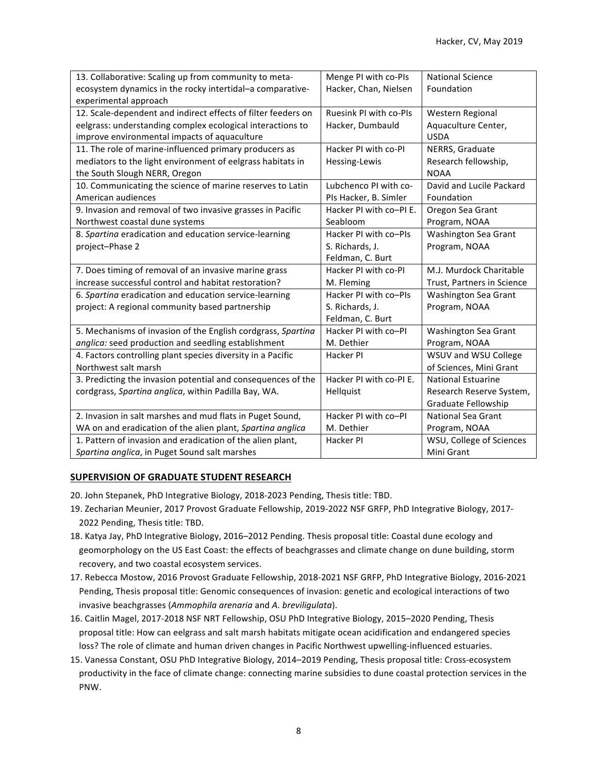| 13. Collaborative: Scaling up from community to meta-         | Menge PI with co-PIs    | <b>National Science</b>    |
|---------------------------------------------------------------|-------------------------|----------------------------|
| ecosystem dynamics in the rocky intertidal-a comparative-     | Hacker, Chan, Nielsen   | Foundation                 |
| experimental approach                                         |                         |                            |
| 12. Scale-dependent and indirect effects of filter feeders on | Ruesink PI with co-PIs  | Western Regional           |
| eelgrass: understanding complex ecological interactions to    | Hacker, Dumbauld        | Aquaculture Center,        |
| improve environmental impacts of aquaculture                  |                         | <b>USDA</b>                |
| 11. The role of marine-influenced primary producers as        | Hacker PI with co-PI    | NERRS, Graduate            |
| mediators to the light environment of eelgrass habitats in    | Hessing-Lewis           | Research fellowship,       |
| the South Slough NERR, Oregon                                 |                         | <b>NOAA</b>                |
| 10. Communicating the science of marine reserves to Latin     | Lubchenco PI with co-   | David and Lucile Packard   |
| American audiences                                            | PIs Hacker, B. Simler   | Foundation                 |
| 9. Invasion and removal of two invasive grasses in Pacific    | Hacker PI with co-PI E. | Oregon Sea Grant           |
| Northwest coastal dune systems                                | Seabloom                | Program, NOAA              |
| 8. Spartina eradication and education service-learning        | Hacker PI with co-PIs   | Washington Sea Grant       |
| project-Phase 2                                               | S. Richards, J.         | Program, NOAA              |
|                                                               | Feldman, C. Burt        |                            |
| 7. Does timing of removal of an invasive marine grass         | Hacker PI with co-PI    | M.J. Murdock Charitable    |
| increase successful control and habitat restoration?          | M. Fleming              | Trust, Partners in Science |
| 6. Spartina eradication and education service-learning        | Hacker PI with co-PIs   | Washington Sea Grant       |
| project: A regional community based partnership               | S. Richards, J.         | Program, NOAA              |
|                                                               | Feldman, C. Burt        |                            |
| 5. Mechanisms of invasion of the English cordgrass, Spartina  | Hacker PI with co-PI    | Washington Sea Grant       |
| anglica: seed production and seedling establishment           | M. Dethier              | Program, NOAA              |
| 4. Factors controlling plant species diversity in a Pacific   | Hacker PI               | WSUV and WSU College       |
| Northwest salt marsh                                          |                         | of Sciences, Mini Grant    |
| 3. Predicting the invasion potential and consequences of the  | Hacker PI with co-PIE.  | <b>National Estuarine</b>  |
| cordgrass, Spartina anglica, within Padilla Bay, WA.          | Hellquist               | Research Reserve System,   |
|                                                               |                         | Graduate Fellowship        |
| 2. Invasion in salt marshes and mud flats in Puget Sound,     | Hacker PI with co-PI    | <b>National Sea Grant</b>  |
| WA on and eradication of the alien plant, Spartina anglica    | M. Dethier              | Program, NOAA              |
| 1. Pattern of invasion and eradication of the alien plant,    | Hacker PI               | WSU, College of Sciences   |
| Spartina anglica, in Puget Sound salt marshes                 |                         | Mini Grant                 |

## **SUPERVISION OF GRADUATE STUDENT RESEARCH**

- 20. John Stepanek, PhD Integrative Biology, 2018-2023 Pending, Thesis title: TBD.
- 19. Zecharian Meunier, 2017 Provost Graduate Fellowship, 2019-2022 NSF GRFP, PhD Integrative Biology, 2017-2022 Pending, Thesis title: TBD.
- 18. Katya Jay, PhD Integrative Biology, 2016–2012 Pending. Thesis proposal title: Coastal dune ecology and geomorphology on the US East Coast: the effects of beachgrasses and climate change on dune building, storm recovery, and two coastal ecosystem services.
- 17. Rebecca Mostow, 2016 Provost Graduate Fellowship, 2018-2021 NSF GRFP, PhD Integrative Biology, 2016-2021 Pending, Thesis proposal title: Genomic consequences of invasion: genetic and ecological interactions of two invasive beachgrasses (Ammophila arenaria and A. breviligulata).
- 16. Caitlin Magel, 2017-2018 NSF NRT Fellowship, OSU PhD Integrative Biology, 2015–2020 Pending, Thesis proposal title: How can eelgrass and salt marsh habitats mitigate ocean acidification and endangered species loss? The role of climate and human driven changes in Pacific Northwest upwelling-influenced estuaries.
- 15. Vanessa Constant, OSU PhD Integrative Biology, 2014–2019 Pending, Thesis proposal title: Cross-ecosystem productivity in the face of climate change: connecting marine subsidies to dune coastal protection services in the PNW.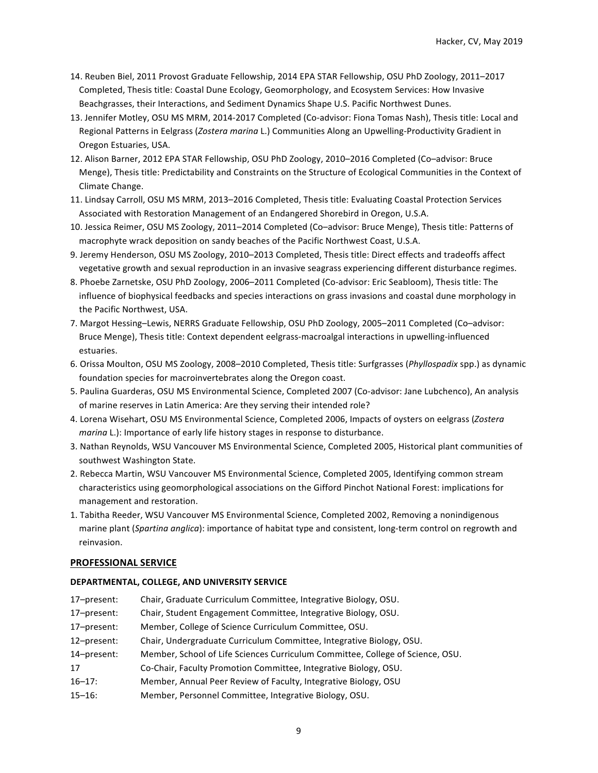- 14. Reuben Biel, 2011 Provost Graduate Fellowship, 2014 EPA STAR Fellowship, OSU PhD Zoology, 2011–2017 Completed, Thesis title: Coastal Dune Ecology, Geomorphology, and Ecosystem Services: How Invasive Beachgrasses, their Interactions, and Sediment Dynamics Shape U.S. Pacific Northwest Dunes.
- 13. Jennifer Motley, OSU MS MRM, 2014-2017 Completed (Co-advisor: Fiona Tomas Nash), Thesis title: Local and Regional Patterns in Eelgrass (*Zostera marina* L.) Communities Along an Upwelling-Productivity Gradient in Oregon Estuaries, USA.
- 12. Alison Barner, 2012 EPA STAR Fellowship, OSU PhD Zoology, 2010–2016 Completed (Co-advisor: Bruce Menge), Thesis title: Predictability and Constraints on the Structure of Ecological Communities in the Context of Climate Change.
- 11. Lindsay Carroll, OSU MS MRM, 2013-2016 Completed, Thesis title: Evaluating Coastal Protection Services Associated with Restoration Management of an Endangered Shorebird in Oregon, U.S.A.
- 10. Jessica Reimer, OSU MS Zoology, 2011–2014 Completed (Co–advisor: Bruce Menge), Thesis title: Patterns of macrophyte wrack deposition on sandy beaches of the Pacific Northwest Coast, U.S.A.
- 9. Jeremy Henderson, OSU MS Zoology, 2010–2013 Completed, Thesis title: Direct effects and tradeoffs affect vegetative growth and sexual reproduction in an invasive seagrass experiencing different disturbance regimes.
- 8. Phoebe Zarnetske, OSU PhD Zoology, 2006–2011 Completed (Co-advisor: Eric Seabloom), Thesis title: The influence of biophysical feedbacks and species interactions on grass invasions and coastal dune morphology in the Pacific Northwest, USA.
- 7. Margot Hessing–Lewis, NERRS Graduate Fellowship, OSU PhD Zoology, 2005–2011 Completed (Co–advisor: Bruce Menge), Thesis title: Context dependent eelgrass-macroalgal interactions in upwelling-influenced estuaries.
- 6. Orissa Moulton, OSU MS Zoology, 2008–2010 Completed, Thesis title: Surfgrasses (Phyllospadix spp.) as dynamic foundation species for macroinvertebrates along the Oregon coast.
- 5. Paulina Guarderas, OSU MS Environmental Science, Completed 2007 (Co-advisor: Jane Lubchenco), An analysis of marine reserves in Latin America: Are they serving their intended role?
- 4. Lorena Wisehart, OSU MS Environmental Science, Completed 2006, Impacts of oysters on eelgrass (Zostera *marina* L.): Importance of early life history stages in response to disturbance.
- 3. Nathan Reynolds, WSU Vancouver MS Environmental Science, Completed 2005, Historical plant communities of southwest Washington State.
- 2. Rebecca Martin, WSU Vancouver MS Environmental Science, Completed 2005, Identifying common stream characteristics using geomorphological associations on the Gifford Pinchot National Forest: implications for management and restoration.
- 1. Tabitha Reeder, WSU Vancouver MS Environmental Science, Completed 2002, Removing a nonindigenous marine plant (*Sparting anglica*): importance of habitat type and consistent, long-term control on regrowth and reinvasion.

### **PROFESSIONAL SERVICE**

### **DEPARTMENTAL, COLLEGE, AND UNIVERSITY SERVICE**

- 17-present: Chair, Graduate Curriculum Committee, Integrative Biology, OSU.
- 17–present: Chair, Student Engagement Committee, Integrative Biology, OSU.
- 17-present: Member, College of Science Curriculum Committee, OSU.
- 12–present: Chair, Undergraduate Curriculum Committee, Integrative Biology, OSU.
- 14–present: Member, School of Life Sciences Curriculum Committee, College of Science, OSU.
- 17 Co-Chair, Faculty Promotion Committee, Integrative Biology, OSU.
- 16–17: Member, Annual Peer Review of Faculty, Integrative Biology, OSU
- 15–16: Member, Personnel Committee, Integrative Biology, OSU.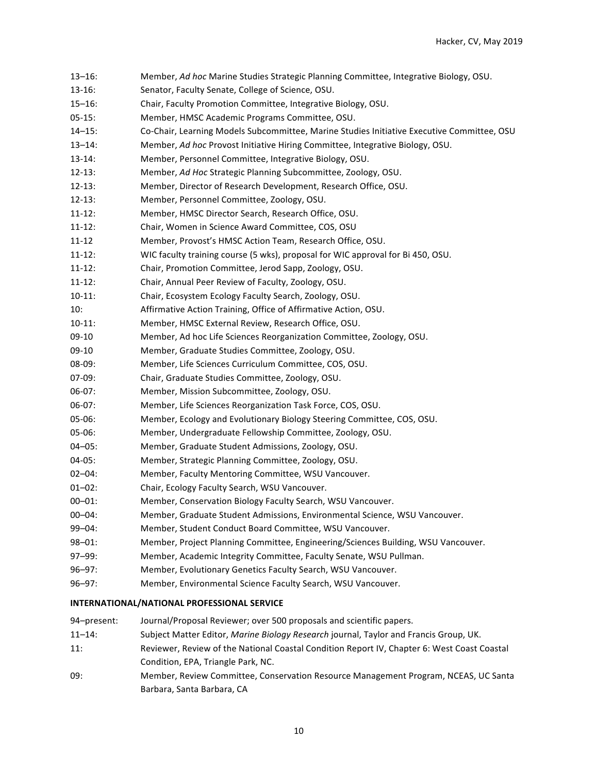| $13 - 16:$                                  | Member, Ad hoc Marine Studies Strategic Planning Committee, Integrative Biology, OSU.      |  |
|---------------------------------------------|--------------------------------------------------------------------------------------------|--|
| $13-16:$                                    | Senator, Faculty Senate, College of Science, OSU.                                          |  |
| $15 - 16$ :                                 | Chair, Faculty Promotion Committee, Integrative Biology, OSU.                              |  |
| $05-15:$                                    | Member, HMSC Academic Programs Committee, OSU.                                             |  |
| $14 - 15$ :                                 | Co-Chair, Learning Models Subcommittee, Marine Studies Initiative Executive Committee, OSU |  |
| $13 - 14$ :                                 | Member, Ad hoc Provost Initiative Hiring Committee, Integrative Biology, OSU.              |  |
| $13 - 14$ :                                 | Member, Personnel Committee, Integrative Biology, OSU.                                     |  |
| $12 - 13:$                                  | Member, Ad Hoc Strategic Planning Subcommittee, Zoology, OSU.                              |  |
| $12 - 13:$                                  | Member, Director of Research Development, Research Office, OSU.                            |  |
| $12 - 13:$                                  | Member, Personnel Committee, Zoology, OSU.                                                 |  |
| $11 - 12$ :                                 | Member, HMSC Director Search, Research Office, OSU.                                        |  |
| $11 - 12$ :                                 | Chair, Women in Science Award Committee, COS, OSU                                          |  |
| 11-12                                       | Member, Provost's HMSC Action Team, Research Office, OSU.                                  |  |
| $11 - 12$ :                                 | WIC faculty training course (5 wks), proposal for WIC approval for Bi 450, OSU.            |  |
| $11 - 12$ :                                 | Chair, Promotion Committee, Jerod Sapp, Zoology, OSU.                                      |  |
| $11 - 12$ :                                 | Chair, Annual Peer Review of Faculty, Zoology, OSU.                                        |  |
| $10-11:$                                    | Chair, Ecosystem Ecology Faculty Search, Zoology, OSU.                                     |  |
| 10:                                         | Affirmative Action Training, Office of Affirmative Action, OSU.                            |  |
| $10-11:$                                    | Member, HMSC External Review, Research Office, OSU.                                        |  |
| 09-10                                       | Member, Ad hoc Life Sciences Reorganization Committee, Zoology, OSU.                       |  |
| 09-10                                       | Member, Graduate Studies Committee, Zoology, OSU.                                          |  |
| 08-09:                                      | Member, Life Sciences Curriculum Committee, COS, OSU.                                      |  |
| $07-09:$                                    | Chair, Graduate Studies Committee, Zoology, OSU.                                           |  |
| $06-07:$                                    | Member, Mission Subcommittee, Zoology, OSU.                                                |  |
| $06-07:$                                    | Member, Life Sciences Reorganization Task Force, COS, OSU.                                 |  |
| $05-06:$                                    | Member, Ecology and Evolutionary Biology Steering Committee, COS, OSU.                     |  |
| $05-06:$                                    | Member, Undergraduate Fellowship Committee, Zoology, OSU.                                  |  |
| $04 - 05:$                                  | Member, Graduate Student Admissions, Zoology, OSU.                                         |  |
| $04-05:$                                    | Member, Strategic Planning Committee, Zoology, OSU.                                        |  |
| $02 - 04$ :                                 | Member, Faculty Mentoring Committee, WSU Vancouver.                                        |  |
| $01 - 02$ :                                 | Chair, Ecology Faculty Search, WSU Vancouver.                                              |  |
| $00 - 01$ :                                 | Member, Conservation Biology Faculty Search, WSU Vancouver.                                |  |
| $00 - 04$ :                                 | Member, Graduate Student Admissions, Environmental Science, WSU Vancouver.                 |  |
| 99-04:                                      | Member, Student Conduct Board Committee, WSU Vancouver.                                    |  |
| $98 - 01$ :                                 | Member, Project Planning Committee, Engineering/Sciences Building, WSU Vancouver.          |  |
| 97-99:                                      | Member, Academic Integrity Committee, Faculty Senate, WSU Pullman.                         |  |
| $96 - 97:$                                  | Member, Evolutionary Genetics Faculty Search, WSU Vancouver.                               |  |
| $96 - 97:$                                  | Member, Environmental Science Faculty Search, WSU Vancouver.                               |  |
| INTERNATIONAL/NATIONAL PROFESSIONAL SERVICE |                                                                                            |  |

94–present: Journal/Proposal Reviewer; over 500 proposals and scientific papers.

- 11-14: Subject Matter Editor, *Marine Biology Research* journal, Taylor and Francis Group, UK.
- 11: Reviewer, Review of the National Coastal Condition Report IV, Chapter 6: West Coast Coastal Condition, EPA, Triangle Park, NC.
- 09: Member, Review Committee, Conservation Resource Management Program, NCEAS, UC Santa Barbara, Santa Barbara, CA